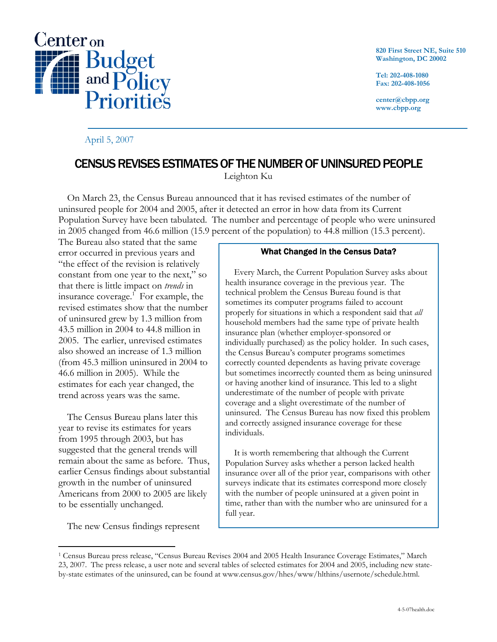

## April 5, 2007

**820 First Street NE, Suite 510 Washington, DC 20002** 

**Tel: 202-408-1080 Fax: 202-408-1056** 

**center@cbpp.org www.cbpp.org** 

## CENSUS REVISES ESTIMATES OF THE NUMBER OF UNINSURED PEOPLE

Leighton Ku

 On March 23, the Census Bureau announced that it has revised estimates of the number of uninsured people for 2004 and 2005, after it detected an error in how data from its Current Population Survey have been tabulated. The number and percentage of people who were uninsured in 2005 changed from 46.6 million (15.9 percent of the population) to 44.8 million (15.3 percent).

The Bureau also stated that the same error occurred in previous years and "the effect of the revision is relatively constant from one year to the next," so that there is little impact on *trends* in insurance coverage.<sup>1</sup> For example, the revised estimates show that the number of uninsured grew by 1.3 million from 43.5 million in 2004 to 44.8 million in 2005. The earlier, unrevised estimates also showed an increase of 1.3 million (from 45.3 million uninsured in 2004 to 46.6 million in 2005). While the estimates for each year changed, the trend across years was the same.

 The Census Bureau plans later this year to revise its estimates for years from 1995 through 2003, but has suggested that the general trends will remain about the same as before. Thus, earlier Census findings about substantial growth in the number of uninsured Americans from 2000 to 2005 are likely to be essentially unchanged.

The new Census findings represent

 $\overline{a}$ 

## What Changed in the Census Data?

 Every March, the Current Population Survey asks about health insurance coverage in the previous year. The technical problem the Census Bureau found is that sometimes its computer programs failed to account properly for situations in which a respondent said that *all* household members had the same type of private health insurance plan (whether employer-sponsored or individually purchased) as the policy holder. In such cases, the Census Bureau's computer programs sometimes correctly counted dependents as having private coverage but sometimes incorrectly counted them as being uninsured or having another kind of insurance. This led to a slight underestimate of the number of people with private coverage and a slight overestimate of the number of uninsured. The Census Bureau has now fixed this problem and correctly assigned insurance coverage for these individuals.

 It is worth remembering that although the Current Population Survey asks whether a person lacked health insurance over all of the prior year, comparisons with other surveys indicate that its estimates correspond more closely with the number of people uninsured at a given point in time, rather than with the number who are uninsured for a full year.

<sup>1</sup> Census Bureau press release, "Census Bureau Revises 2004 and 2005 Health Insurance Coverage Estimates," March 23, 2007. The press release, a user note and several tables of selected estimates for 2004 and 2005, including new stateby-state estimates of the uninsured, can be found at www.census.gov/hhes/www/hlthins/usernote/schedule.html.